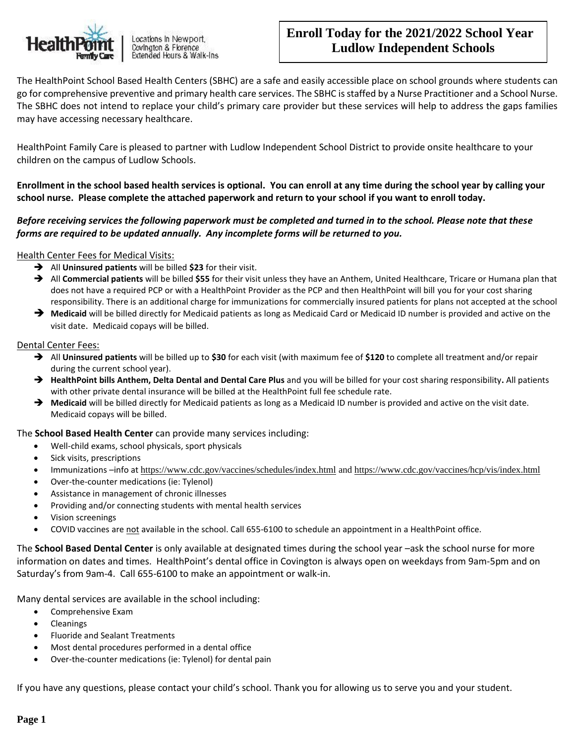

Locations in Newport, Covington & Florence Extended Hours & Walk-Ins

# **Enroll Today for the 2021/2022 School Year Ludlow Independent Schools**

The HealthPoint School Based Health Centers (SBHC) are a safe and easily accessible place on school grounds where students can go for comprehensive preventive and primary health care services. The SBHC is staffed by a Nurse Practitioner and a School Nurse. The SBHC does not intend to replace your child's primary care provider but these services will help to address the gaps families may have accessing necessary healthcare.

HealthPoint Family Care is pleased to partner with Ludlow Independent School District to provide onsite healthcare to your children on the campus of Ludlow Schools.

**Enrollment in the school based health services is optional. You can enroll at any time during the school year by calling your school nurse. Please complete the attached paperwork and return to your school if you want to enroll today.** 

### *Before receiving services the following paperwork must be completed and turned in to the school. Please note that these forms are required to be updated annually. Any incomplete forms will be returned to you.*

### Health Center Fees for Medical Visits:

- ➔ All **Uninsured patients** will be billed **\$23** for their visit.
- ➔ All **Commercial patients** will be billed **\$55** for their visit unless they have an Anthem, United Healthcare, Tricare or Humana plan that does not have a required PCP or with a HealthPoint Provider as the PCP and then HealthPoint will bill you for your cost sharing responsibility. There is an additional charge for immunizations for commercially insured patients for plans not accepted at the school
- ➔ **Medicaid** will be billed directly for Medicaid patients as long as Medicaid Card or Medicaid ID number is provided and active on the visit date. Medicaid copays will be billed.

### Dental Center Fees:

- ➔ All **Uninsured patients** will be billed up to **\$30** for each visit (with maximum fee of **\$120** to complete all treatment and/or repair during the current school year).
- ➔ **HealthPoint bills Anthem, Delta Dental and Dental Care Plus** and you will be billed for your cost sharing responsibility**.** All patients with other private dental insurance will be billed at the HealthPoint full fee schedule rate.
- ➔ **Medicaid** will be billed directly for Medicaid patients as long as a Medicaid ID number is provided and active on the visit date. Medicaid copays will be billed.

### The **School Based Health Center** can provide many services including:

- Well-child exams, school physicals, sport physicals
- Sick visits, prescriptions
- Immunizations –info at <https://www.cdc.gov/vaccines/schedules/index.html> an[d https://www.cdc.gov/vaccines/hcp/vis/index.html](https://www.cdc.gov/vaccines/hcp/vis/index.html)
- Over-the-counter medications (ie: Tylenol)
- Assistance in management of chronic illnesses
- Providing and/or connecting students with mental health services
- Vision screenings
- COVID vaccines are not available in the school. Call 655-6100 to schedule an appointment in a HealthPoint office.

The **School Based Dental Center** is only available at designated times during the school year –ask the school nurse for more information on dates and times. HealthPoint's dental office in Covington is always open on weekdays from 9am-5pm and on Saturday's from 9am-4. Call 655-6100 to make an appointment or walk-in.

Many dental services are available in the school including:

- Comprehensive Exam
- Cleanings
- Fluoride and Sealant Treatments
- Most dental procedures performed in a dental office
- Over-the-counter medications (ie: Tylenol) for dental pain

If you have any questions, please contact your child's school. Thank you for allowing us to serve you and your student.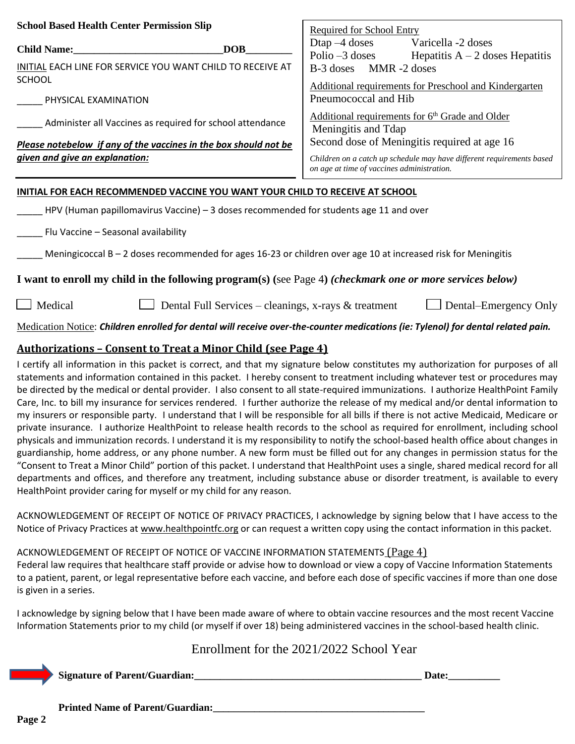| <b>School Based Health Center Permission Slip</b>                                                                | <b>Required for School Entry</b>                                                                                    |  |  |  |  |
|------------------------------------------------------------------------------------------------------------------|---------------------------------------------------------------------------------------------------------------------|--|--|--|--|
| <b>DOB</b><br><b>Child Name:</b>                                                                                 | Dtap $-4$ doses<br>Varicella -2 doses<br>Polio $-3$ doses<br>Hepatitis $A - 2$ doses Hepatitis                      |  |  |  |  |
| INITIAL EACH LINE FOR SERVICE YOU WANT CHILD TO RECEIVE AT<br><b>SCHOOL</b>                                      | B-3 doses MMR-2 doses<br>Additional requirements for Preschool and Kindergarten                                     |  |  |  |  |
| PHYSICAL EXAMINATION                                                                                             | Pneumococcal and Hib                                                                                                |  |  |  |  |
| Administer all Vaccines as required for school attendance                                                        | <u>Additional requirements for 6<sup>th</sup> Grade and Older</u><br>Meningitis and Tdap                            |  |  |  |  |
| Please notebelow if any of the vaccines in the box should not be                                                 | Second dose of Meningitis required at age 16                                                                        |  |  |  |  |
| given and give an explanation:                                                                                   | Children on a catch up schedule may have different requirements based<br>on age at time of vaccines administration. |  |  |  |  |
| INITIAL FOR EACH RECOMMENDED VACCINE YOU WANT YOUR CHILD TO RECEIVE AT SCHOOL                                    |                                                                                                                     |  |  |  |  |
| HPV (Human papillomavirus Vaccine) $-3$ doses recommended for students age 11 and over                           |                                                                                                                     |  |  |  |  |
| Flu Vaccine - Seasonal availability                                                                              |                                                                                                                     |  |  |  |  |
| Meningicoccal $B - 2$ doses recommended for ages 16-23 or children over age 10 at increased risk for Meningitis  |                                                                                                                     |  |  |  |  |
| I want to enroll my child in the following program(s) (see Page 4) <i>(checkmark one or more services below)</i> |                                                                                                                     |  |  |  |  |
| Medical<br>Dental Full Services – cleanings, x-rays & treatment<br>Dental–Emergency Only                         |                                                                                                                     |  |  |  |  |

Medication Notice: *Children enrolled for dental will receive over-the-counter medications (ie: Tylenol) for dental related pain.*

## **Authorizations – Consent to Treat a Minor Child (see Page 4)**

I certify all information in this packet is correct, and that my signature below constitutes my authorization for purposes of all statements and information contained in this packet. I hereby consent to treatment including whatever test or procedures may be directed by the medical or dental provider. I also consent to all state-required immunizations. I authorize HealthPoint Family Care, Inc. to bill my insurance for services rendered. I further authorize the release of my medical and/or dental information to my insurers or responsible party. I understand that I will be responsible for all bills if there is not active Medicaid, Medicare or private insurance. I authorize HealthPoint to release health records to the school as required for enrollment, including school physicals and immunization records. I understand it is my responsibility to notify the school-based health office about changes in guardianship, home address, or any phone number. A new form must be filled out for any changes in permission status for the "Consent to Treat a Minor Child" portion of this packet. I understand that HealthPoint uses a single, shared medical record for all departments and offices, and therefore any treatment, including substance abuse or disorder treatment, is available to every HealthPoint provider caring for myself or my child for any reason.

ACKNOWLEDGEMENT OF RECEIPT OF NOTICE OF PRIVACY PRACTICES, I acknowledge by signing below that I have access to the Notice of Privacy Practices at [www.healthpointfc.org](http://www.healthpointfc.org/) or can request a written copy using the contact information in this packet.

### ACKNOWLEDGEMENT OF RECEIPT OF NOTICE OF VACCINE INFORMATION STATEMENTS (Page 4)

Federal law requires that healthcare staff provide or advise how to download or view a copy of Vaccine Information Statements to a patient, parent, or legal representative before each vaccine, and before each dose of specific vaccines if more than one dose is given in a series.

I acknowledge by signing below that I have been made aware of where to obtain vaccine resources and the most recent Vaccine Information Statements prior to my child (or myself if over 18) being administered vaccines in the school-based health clinic.

# Enrollment for the 2021/2022 School Year

**Signature of Parent/Guardian:**  $\qquad \qquad$  **Signature of Parent/Guardian:** 

**Printed Name of Parent/Guardian:**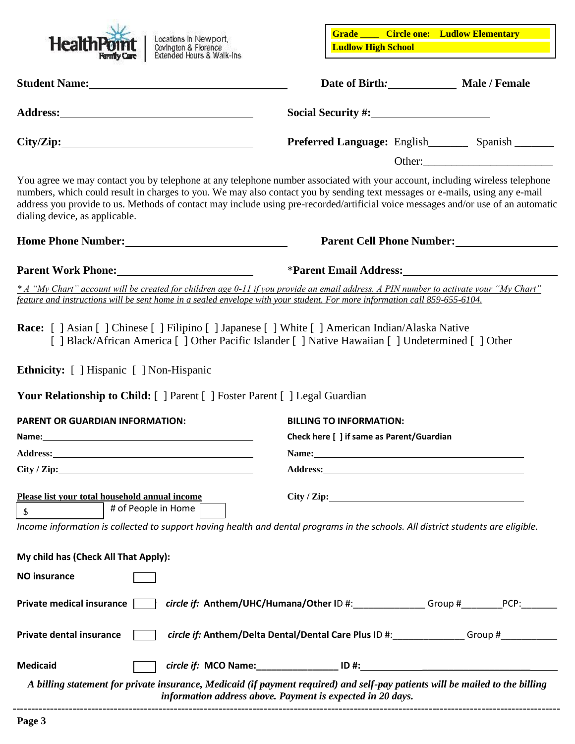

**Grade \_\_\_\_ Circle one: Ludlow Elementary Ludlow High School**

| Student Name: Manual Manual Manual Manual Manual Manual Manual Manual Manual Manual Manual Manual Manual Manua                                                                                                                                                                                                                                                                                                                      | Date of Birth: Male / Female                                                                                   |  |                           |  |  |
|-------------------------------------------------------------------------------------------------------------------------------------------------------------------------------------------------------------------------------------------------------------------------------------------------------------------------------------------------------------------------------------------------------------------------------------|----------------------------------------------------------------------------------------------------------------|--|---------------------------|--|--|
|                                                                                                                                                                                                                                                                                                                                                                                                                                     |                                                                                                                |  |                           |  |  |
| City/Zip:                                                                                                                                                                                                                                                                                                                                                                                                                           | Preferred Language: English____________ Spanish __________                                                     |  |                           |  |  |
| You agree we may contact you by telephone at any telephone number associated with your account, including wireless telephone<br>numbers, which could result in charges to you. We may also contact you by sending text messages or e-mails, using any e-mail<br>address you provide to us. Methods of contact may include using pre-recorded/artificial voice messages and/or use of an automatic<br>dialing device, as applicable. |                                                                                                                |  |                           |  |  |
| Home Phone Number:<br><u>Letter and the substitute of the substitute of the substitute</u> of the substitute of the substitute of the substitute of the substitute of the substitute of the substitute of the substitute of the subst                                                                                                                                                                                               |                                                                                                                |  | Parent Cell Phone Number: |  |  |
| Parent Work Phone: <u>Contract Communication</u> of the Second Second Second Second Second Second Second Second Second Second Second Second Second Second Second Second Second Second Second Second Second Second Second Second Sec                                                                                                                                                                                                 |                                                                                                                |  |                           |  |  |
| * A "My Chart" account will be created for children age 0-11 if you provide an email address. A PIN number to activate your "My Chart"<br>feature and instructions will be sent home in a sealed envelope with your student. For more information call 859-655-6104.                                                                                                                                                                |                                                                                                                |  |                           |  |  |
| <b>Race:</b> [ ] Asian [ ] Chinese [ ] Filipino [ ] Japanese [ ] White [ ] American Indian/Alaska Native<br>[ ] Black/African America [ ] Other Pacific Islander [ ] Native Hawaiian [ ] Undetermined [ ] Other<br><b>Ethnicity:</b> [ ] Hispanic [ ] Non-Hispanic                                                                                                                                                                  |                                                                                                                |  |                           |  |  |
| <b>Your Relationship to Child:</b> [ ] Parent [ ] Foster Parent [ ] Legal Guardian                                                                                                                                                                                                                                                                                                                                                  |                                                                                                                |  |                           |  |  |
| <b>PARENT OR GUARDIAN INFORMATION:</b><br>Name: Name and the second contract of the second contract of the second contract of the second contract of the second contract of the second contract of the second contract of the second contract of the second contract of                                                                                                                                                             | <b>BILLING TO INFORMATION:</b><br>Check here [ ] if same as Parent/Guardian                                    |  |                           |  |  |
|                                                                                                                                                                                                                                                                                                                                                                                                                                     | Name: 2008. 2008. 2010. 2010. 2010. 2010. 2010. 2010. 2010. 2010. 2010. 2010. 2010. 2010. 2010. 2010. 2010. 20 |  |                           |  |  |
| City / Zip:                                                                                                                                                                                                                                                                                                                                                                                                                         |                                                                                                                |  |                           |  |  |
| Please list your total household annual income<br>City / Zip:<br># of People in Home<br>\$<br>Income information is collected to support having health and dental programs in the schools. All district students are eligible.                                                                                                                                                                                                      |                                                                                                                |  |                           |  |  |
| My child has (Check All That Apply):                                                                                                                                                                                                                                                                                                                                                                                                |                                                                                                                |  |                           |  |  |
| <b>NO insurance</b>                                                                                                                                                                                                                                                                                                                                                                                                                 |                                                                                                                |  |                           |  |  |
| Private medical insurance<br>circle if: Anthem/UHC/Humana/Other ID #: Group # Cassacree PCP:                                                                                                                                                                                                                                                                                                                                        |                                                                                                                |  |                           |  |  |
| circle if: Anthem/Delta Dental/Dental Care Plus ID #: Group # Group # 1<br>Private dental insurance                                                                                                                                                                                                                                                                                                                                 |                                                                                                                |  |                           |  |  |
| circle if: MCO Name: __________________ ID #:<br><b>Medicaid</b>                                                                                                                                                                                                                                                                                                                                                                    |                                                                                                                |  |                           |  |  |
| A billing statement for private insurance, Medicaid (if payment required) and self-pay patients will be mailed to the billing<br>information address above. Payment is expected in 20 days.                                                                                                                                                                                                                                         |                                                                                                                |  |                           |  |  |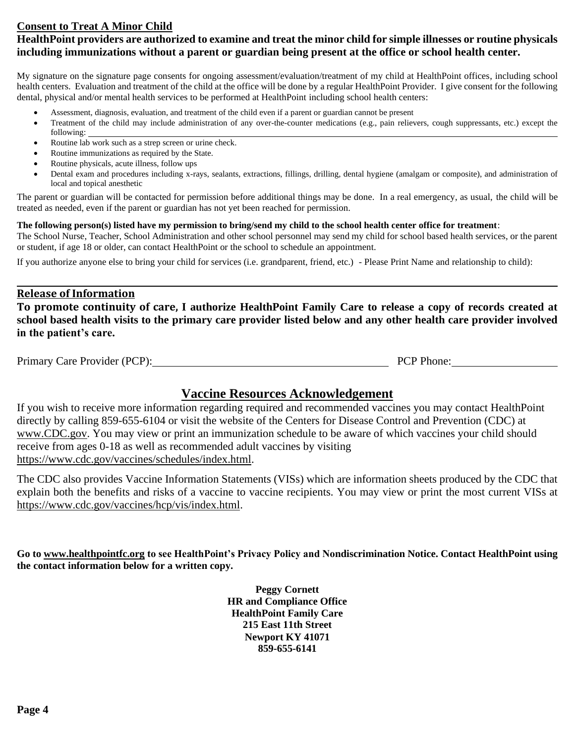# **Consent to Treat A Minor Child**

# **HealthPoint providers are authorized to examine and treat the minor child for simple illnesses or routine physicals including immunizations without a parent or guardian being present at the office or school health center.**

My signature on the signature page consents for ongoing assessment/evaluation/treatment of my child at HealthPoint offices, including school health centers. Evaluation and treatment of the child at the office will be done by a regular HealthPoint Provider. I give consent for the following dental, physical and/or mental health services to be performed at HealthPoint including school health centers:

- Assessment, diagnosis, evaluation, and treatment of the child even if a parent or guardian cannot be present
- Treatment of the child may include administration of any over-the-counter medications (e.g., pain relievers, cough suppressants, etc.) except the following:
- Routine lab work such as a strep screen or urine check.
- Routine immunizations as required by the State.
- Routine physicals, acute illness, follow ups
- Dental exam and procedures including x-rays, sealants, extractions, fillings, drilling, dental hygiene (amalgam or composite), and administration of local and topical anesthetic

The parent or guardian will be contacted for permission before additional things may be done. In a real emergency, as usual, the child will be treated as needed, even if the parent or guardian has not yet been reached for permission.

#### **The following person(s) listed have my permission to bring/send my child to the school health center office for treatment**:

The School Nurse, Teacher, School Administration and other school personnel may send my child for school based health services, or the parent or student, if age 18 or older, can contact HealthPoint or the school to schedule an appointment.

If you authorize anyone else to bring your child for services (i.e. grandparent, friend, etc.) - Please Print Name and relationship to child):

### **Release of Information**

**To promote continuity of care, I authorize HealthPoint Family Care to release a copy of records created at school based health visits to the primary care provider listed below and any other health care provider involved in the patient's care.** 

| Primary Care Provider (PCP): | <b>PCP</b> Phone: |
|------------------------------|-------------------|
|------------------------------|-------------------|

# **Vaccine Resources Acknowledgement**

If you wish to receive more information regarding required and recommended vaccines you may contact HealthPoint directly by calling 859-655-6104 or visit the website of the Centers for Disease Control and Prevention (CDC) at [www.CDC.gov.](http://www.cdc.gov/) You may view or print an immunization schedule to be aware of which vaccines your child should receive from ages 0-18 as well as recommended adult vaccines by visiting [https://www.cdc.gov/vaccines/schedules/index.html.](https://www.cdc.gov/vaccines/schedules/index.html)

The CDC also provides Vaccine Information Statements (VISs) which are information sheets produced by the CDC that explain both the benefits and risks of a vaccine to vaccine recipients. You may view or print the most current VISs at [https://www.cdc.gov/vaccines/hcp/vis/index.html.](https://www.cdc.gov/vaccines/hcp/vis/index.html)

**Go to [www.healthpointfc.org](http://www.healthpointfc.org/) to see HealthPoint's Privacy Policy and Nondiscrimination Notice. Contact HealthPoint using the contact information below for a written copy.**

> **Peggy Cornett HR and Compliance Office HealthPoint Family Care 215 East 11th Street Newport KY 41071 859-655-6141**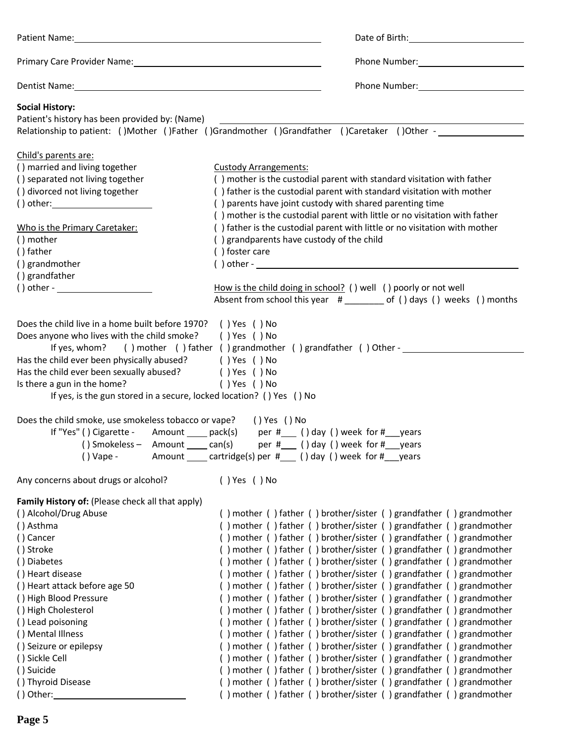| Patient Name: 100 million and the contract of the contract of the contract of the contract of the contract of the contract of the contract of the contract of the contract of the contract of the contract of the contract of                                                                                                                                                                                                                                                                                                | Date of Birth: National Property of Birth:                                                                                                                                                                                                                                                                                                                                                                                                                                                                                                                                                                                                                                                                                                                                                                                                                                                                                                                                                                                                                                                                                                                                   |  |  |  |
|------------------------------------------------------------------------------------------------------------------------------------------------------------------------------------------------------------------------------------------------------------------------------------------------------------------------------------------------------------------------------------------------------------------------------------------------------------------------------------------------------------------------------|------------------------------------------------------------------------------------------------------------------------------------------------------------------------------------------------------------------------------------------------------------------------------------------------------------------------------------------------------------------------------------------------------------------------------------------------------------------------------------------------------------------------------------------------------------------------------------------------------------------------------------------------------------------------------------------------------------------------------------------------------------------------------------------------------------------------------------------------------------------------------------------------------------------------------------------------------------------------------------------------------------------------------------------------------------------------------------------------------------------------------------------------------------------------------|--|--|--|
| Primary Care Provider Name: Manual According to the Care of Trimary Care Provider Name:                                                                                                                                                                                                                                                                                                                                                                                                                                      |                                                                                                                                                                                                                                                                                                                                                                                                                                                                                                                                                                                                                                                                                                                                                                                                                                                                                                                                                                                                                                                                                                                                                                              |  |  |  |
|                                                                                                                                                                                                                                                                                                                                                                                                                                                                                                                              |                                                                                                                                                                                                                                                                                                                                                                                                                                                                                                                                                                                                                                                                                                                                                                                                                                                                                                                                                                                                                                                                                                                                                                              |  |  |  |
| <b>Social History:</b><br>Patient's history has been provided by: (Name)                                                                                                                                                                                                                                                                                                                                                                                                                                                     | Relationship to patient: ()Mother ()Father ()Grandmother ()Grandfather ()Caretaker ()Other -                                                                                                                                                                                                                                                                                                                                                                                                                                                                                                                                                                                                                                                                                                                                                                                                                                                                                                                                                                                                                                                                                 |  |  |  |
| Child's parents are:<br>() married and living together<br>() separated not living together<br>() divorced not living together<br>Who is the Primary Caretaker:<br>() mother<br>() father<br>() grandmother<br>() grandfather<br>$() other -$                                                                                                                                                                                                                                                                                 | <b>Custody Arrangements:</b><br>() mother is the custodial parent with standard visitation with father<br>() father is the custodial parent with standard visitation with mother<br>() parents have joint custody with shared parenting time<br>() mother is the custodial parent with little or no visitation with father<br>() father is the custodial parent with little or no visitation with mother<br>() grandparents have custody of the child<br>() foster care<br>$( ) other - \_$<br>How is the child doing in school? () well () poorly or not well<br>Absent from school this year # ______ of () days () weeks () months                                                                                                                                                                                                                                                                                                                                                                                                                                                                                                                                        |  |  |  |
| Does the child live in a home built before 1970? () Yes () No<br>Does anyone who lives with the child smoke? () Yes () No<br>If yes, whom? () mother () father () grandmother () grandfather () Other -<br>Has the child ever been physically abused? () Yes () No<br>Has the child ever been sexually abused? ( ) Yes ( ) No<br>Is there a gun in the home?<br>() Yes () No<br>If yes, is the gun stored in a secure, locked location? () Yes () No<br>Does the child smoke, use smokeless tobacco or vape?<br>() Yes () No |                                                                                                                                                                                                                                                                                                                                                                                                                                                                                                                                                                                                                                                                                                                                                                                                                                                                                                                                                                                                                                                                                                                                                                              |  |  |  |
| $()$ Vape -                                                                                                                                                                                                                                                                                                                                                                                                                                                                                                                  | If "Yes" () Cigarette - Amount _____ pack(s) per #____ () day () week for #___ years<br>() Smokeless - Amount $\_\_$ can(s) per $#$ () day () week for $#$ years<br>Amount _____ cartridge(s) per #____ () day () week for #____ years                                                                                                                                                                                                                                                                                                                                                                                                                                                                                                                                                                                                                                                                                                                                                                                                                                                                                                                                       |  |  |  |
| Any concerns about drugs or alcohol?                                                                                                                                                                                                                                                                                                                                                                                                                                                                                         | () Yes () No                                                                                                                                                                                                                                                                                                                                                                                                                                                                                                                                                                                                                                                                                                                                                                                                                                                                                                                                                                                                                                                                                                                                                                 |  |  |  |
| Family History of: (Please check all that apply)<br>() Alcohol/Drug Abuse<br>() Asthma<br>() Cancer<br>() Stroke<br>() Diabetes<br>() Heart disease<br>() Heart attack before age 50<br>() High Blood Pressure<br>() High Cholesterol<br>() Lead poisoning<br>() Mental Illness<br>() Seizure or epilepsy<br>() Sickle Cell<br>() Suicide<br>() Thyroid Disease<br>$()$ Other:                                                                                                                                               | () mother () father () brother/sister () grandfather () grandmother<br>() mother () father () brother/sister () grandfather () grandmother<br>() mother () father () brother/sister () grandfather () grandmother<br>() mother () father () brother/sister () grandfather () grandmother<br>() mother () father () brother/sister () grandfather () grandmother<br>() mother () father () brother/sister () grandfather () grandmother<br>() mother () father () brother/sister () grandfather () grandmother<br>() mother () father () brother/sister () grandfather () grandmother<br>() mother () father () brother/sister () grandfather () grandmother<br>() mother () father () brother/sister () grandfather () grandmother<br>() mother () father () brother/sister () grandfather () grandmother<br>() mother () father () brother/sister () grandfather () grandmother<br>() mother () father () brother/sister () grandfather () grandmother<br>() mother () father () brother/sister () grandfather () grandmother<br>() mother () father () brother/sister () grandfather () grandmother<br>() mother () father () brother/sister () grandfather () grandmother |  |  |  |